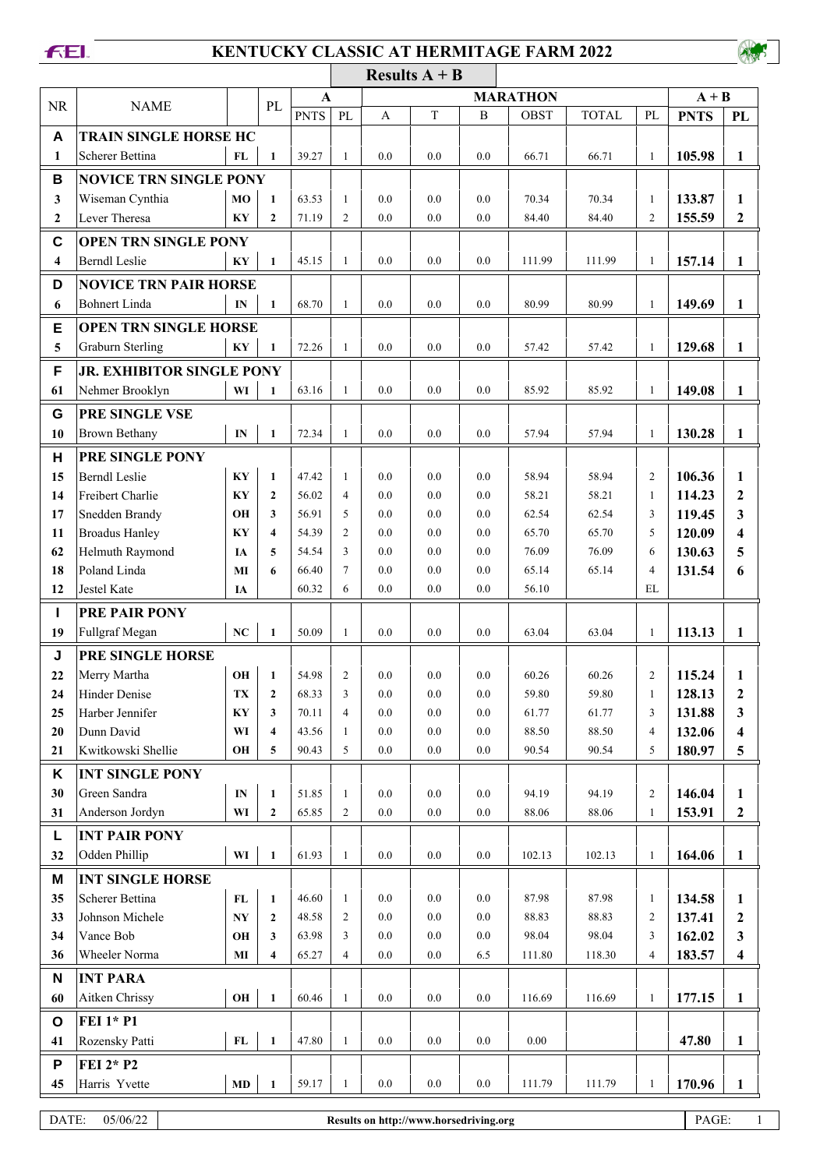## **FEI.**

## **KENTUCKY CLASSIC AT HERMITAGE FARM 2022**

|                         |                                  |                        |                         |             |                      |         | Results $A + B$ |         |             |              |                |             |                         |
|-------------------------|----------------------------------|------------------------|-------------------------|-------------|----------------------|---------|-----------------|---------|-------------|--------------|----------------|-------------|-------------------------|
| <b>NR</b>               | <b>NAME</b>                      |                        | PL                      |             | <b>MARATHON</b><br>A |         |                 |         |             |              |                | $A + B$     |                         |
|                         |                                  |                        |                         | <b>PNTS</b> | PL                   | A       | $\mathbf T$     | B       | <b>OBST</b> | <b>TOTAL</b> | PL             | <b>PNTS</b> | PL                      |
| A                       | <b>TRAIN SINGLE HORSE HC</b>     |                        |                         |             |                      |         |                 |         |             |              |                |             |                         |
| 1                       | <b>Scherer Bettina</b>           | <b>FL</b>              | $\mathbf{1}$            | 39.27       | $\mathbf{1}$         | 0.0     | 0.0             | 0.0     | 66.71       | 66.71        | $\mathbf{1}$   | 105.98      | $\mathbf{1}$            |
| B                       | <b>NOVICE TRN SINGLE PONY</b>    |                        |                         |             |                      |         |                 |         |             |              |                |             |                         |
| 3                       | Wiseman Cynthia                  | MO                     | $\mathbf{1}$            | 63.53       | $\mathbf{1}$         | 0.0     | 0.0             | 0.0     | 70.34       | 70.34        | $\mathbf{1}$   | 133.87      | 1                       |
| $\mathbf{2}$            | Lever Theresa                    | KY                     | $\overline{2}$          | 71.19       | $\overline{2}$       | 0.0     | 0.0             | 0.0     | 84.40       | 84.40        | $\overline{2}$ | 155.59      | $\mathbf{2}$            |
| C                       | <b>OPEN TRN SINGLE PONY</b>      |                        |                         |             |                      |         |                 |         |             |              |                |             |                         |
| $\overline{\mathbf{4}}$ | <b>Berndl Leslie</b>             | KY                     | $\mathbf{1}$            | 45.15       | $\mathbf{1}$         | 0.0     | 0.0             | 0.0     | 111.99      | 111.99       | $\mathbf{1}$   | 157.14      | $\mathbf{1}$            |
| D                       | <b>NOVICE TRN PAIR HORSE</b>     |                        |                         |             |                      |         |                 |         |             |              |                |             |                         |
| 6                       | <b>Bohnert Linda</b>             | IN                     | $\mathbf{1}$            | 68.70       | $\mathbf{1}$         | 0.0     | 0.0             | 0.0     | 80.99       | 80.99        | $\mathbf{1}$   | 149.69      | 1                       |
|                         |                                  |                        |                         |             |                      |         |                 |         |             |              |                |             |                         |
| E                       | <b>OPEN TRN SINGLE HORSE</b>     |                        |                         |             |                      |         |                 |         |             |              |                |             |                         |
| $\overline{\mathbf{5}}$ | <b>Graburn Sterling</b>          | KY                     | $\mathbf{1}$            | 72.26       | $\mathbf{1}$         | 0.0     | 0.0             | 0.0     | 57.42       | 57.42        | $\mathbf{1}$   | 129.68      | $\mathbf{1}$            |
| F                       | <b>JR. EXHIBITOR SINGLE PONY</b> |                        |                         |             |                      |         |                 |         |             |              |                |             |                         |
| 61                      | Nehmer Brooklyn                  | WI                     | 1                       | 63.16       | $\mathbf{1}$         | 0.0     | 0.0             | 0.0     | 85.92       | 85.92        | $\mathbf{1}$   | 149.08      | 1                       |
| G                       | PRE SINGLE VSE                   |                        |                         |             |                      |         |                 |         |             |              |                |             |                         |
| 10                      | <b>Brown Bethany</b>             | $\mathbf{IN}$          | $\mathbf{1}$            | 72.34       | $\mathbf{1}$         | 0.0     | 0.0             | 0.0     | 57.94       | 57.94        | $\mathbf{1}$   | 130.28      | $\mathbf{1}$            |
| H                       | PRE SINGLE PONY                  |                        |                         |             |                      |         |                 |         |             |              |                |             |                         |
| 15                      | <b>Berndl Leslie</b>             | KY                     | $\mathbf{1}$            | 47.42       | $\mathbf{1}$         | 0.0     | 0.0             | 0.0     | 58.94       | 58.94        | $\overline{c}$ | 106.36      | 1                       |
| 14                      | Freibert Charlie                 | KY                     | $\overline{2}$          | 56.02       | $\overline{4}$       | 0.0     | 0.0             | 0.0     | 58.21       | 58.21        | $\mathbf{1}$   | 114.23      | $\mathbf{2}$            |
| 17                      | Snedden Brandy                   | OН                     | 3                       | 56.91       | 5                    | 0.0     | 0.0             | 0.0     | 62.54       | 62.54        | 3              | 119.45      | 3                       |
| 11                      | <b>Broadus Hanley</b>            | KY                     | $\overline{\mathbf{4}}$ | 54.39       | $\overline{2}$       | 0.0     | 0.0             | 0.0     | 65.70       | 65.70        | 5              | 120.09      | 4                       |
| 62                      | Helmuth Raymond                  | <b>IA</b>              | 5                       | 54.54       | 3                    | 0.0     | 0.0             | 0.0     | 76.09       | 76.09        | 6              | 130.63      | 5                       |
| 18                      | Poland Linda                     | MI                     | 6                       | 66.40       | $\tau$               | 0.0     | 0.0             | 0.0     | 65.14       | 65.14        | $\overline{4}$ | 131.54      | 6                       |
| 12                      | Jestel Kate                      | IA                     |                         | 60.32       | 6                    | 0.0     | 0.0             | 0.0     | 56.10       |              | EL             |             |                         |
| п                       | PRE PAIR PONY                    |                        |                         |             |                      |         |                 |         |             |              |                |             |                         |
| 19                      | Fullgraf Megan                   | $\mathbf{N}\mathbf{C}$ | $\mathbf{1}$            | 50.09       | $\mathbf{1}$         | 0.0     | 0.0             | 0.0     | 63.04       | 63.04        | $\mathbf{1}$   | 113.13      | $\mathbf{1}$            |
| J                       | PRE SINGLE HORSE                 |                        |                         |             |                      |         |                 |         |             |              |                |             |                         |
| 22                      | Merry Martha                     | OH                     | $\mathbf{1}$            | 54.98       | $\mathfrak{2}$       | 0.0     | 0.0             | 0.0     | 60.26       | 60.26        | $\overline{c}$ | 115.24      | 1                       |
| 24                      | <b>Hinder Denise</b>             | TX                     | $\mathbf{2}$            | 68.33       | 3                    | 0.0     | 0.0             | $0.0\,$ | 59.80       | 59.80        | $\mathbf{1}$   | 128.13      | $\boldsymbol{2}$        |
| 25                      | Harber Jennifer                  | KY                     | 3                       | 70.11       | $\overline{4}$       | $0.0\,$ | 0.0             | $0.0\,$ | 61.77       | 61.77        | 3              | 131.88      | $\mathbf{3}$            |
| 20                      | Dunn David                       | WI                     | $\overline{\mathbf{4}}$ | 43.56       | 1                    | 0.0     | $0.0\,$         | 0.0     | 88.50       | 88.50        | 4              | 132.06      | $\overline{\mathbf{4}}$ |
| 21                      | Kwitkowski Shellie               | OH                     | 5                       | 90.43       | 5                    | $0.0\,$ | $0.0\,$         | $0.0\,$ | 90.54       | 90.54        | 5              | 180.97      | 5                       |
| Κ                       | <b>INT SINGLE PONY</b>           |                        |                         |             |                      |         |                 |         |             |              |                |             |                         |
| 30                      | Green Sandra                     | $\mathbf{IN}$          | $\mathbf{1}$            | 51.85       | $\mathbf{1}$         | 0.0     | 0.0             | 0.0     | 94.19       | 94.19        | $\overline{c}$ | 146.04      | 1                       |
| 31                      | Anderson Jordyn                  | WI                     | $\boldsymbol{2}$        | 65.85       | $\overline{c}$       | $0.0\,$ | 0.0             | $0.0\,$ | 88.06       | 88.06        | $\mathbf{1}$   | 153.91      | $\mathbf{2}$            |
| L                       | <b>INT PAIR PONY</b>             |                        |                         |             |                      |         |                 |         |             |              |                |             |                         |
| 32                      | Odden Phillip                    | WI                     | $\mathbf{1}$            | 61.93       | $\mathbf{1}$         | $0.0\,$ | $0.0\,$         | $0.0\,$ | 102.13      | 102.13       | $\mathbf{1}$   | 164.06      | $\mathbf{1}$            |
| M                       | <b>INT SINGLE HORSE</b>          |                        |                         |             |                      |         |                 |         |             |              |                |             |                         |
| 35                      | Scherer Bettina                  | $\mathbf{FL}$          | $\mathbf{1}$            | 46.60       | 1                    | 0.0     | 0.0             | $0.0\,$ | 87.98       | 87.98        | $\mathbf{1}$   | 134.58      | $\mathbf{1}$            |
| 33                      | Johnson Michele                  | $\mathbf{N}\mathbf{Y}$ | $\mathbf{2}$            | 48.58       | $\mathfrak{2}$       | 0.0     | 0.0             | $0.0\,$ | 88.83       | 88.83        | 2              | 137.41      | $\boldsymbol{2}$        |
| 34                      | Vance Bob                        | OH                     | 3                       | 63.98       | 3                    | $0.0\,$ | 0.0             | $0.0\,$ | 98.04       | 98.04        | 3              | 162.02      | $\mathbf{3}$            |
| 36                      | Wheeler Norma                    | $\bf{M}$               | 4                       | 65.27       | 4                    | $0.0\,$ | $0.0\,$         | 6.5     | 111.80      | 118.30       | 4              | 183.57      | $\overline{\mathbf{4}}$ |
| N                       | <b>INT PARA</b>                  |                        |                         |             |                      |         |                 |         |             |              |                |             |                         |
| 60                      | Aitken Chrissy                   | OH                     | $\mathbf{1}$            | 60.46       | $\mathbf{1}$         | $0.0\,$ | $0.0\,$         | $0.0\,$ | 116.69      | 116.69       | $\mathbf{1}$   | 177.15      | $\mathbf{1}$            |
| $\mathbf{o}$            | <b>FEI 1* P1</b>                 |                        |                         |             |                      |         |                 |         |             |              |                |             |                         |
| 41                      | Rozensky Patti                   | ${\bf FL}$             | $\mathbf{1}$            | 47.80       | $\mathbf{1}$         | $0.0\,$ | $0.0\,$         | $0.0\,$ | $0.00\,$    |              |                | 47.80       | $\mathbf{1}$            |
| P                       | FEI 2* P2                        |                        |                         |             |                      |         |                 |         |             |              |                |             |                         |
| 45                      | Harris Yvette                    | $\mathbf{M}\mathbf{D}$ | $\mathbf{1}$            | 59.17       | $\mathbf{1}$         | $0.0\,$ | $0.0\,$         | $0.0\,$ | 111.79      | 111.79       | $\mathbf{1}$   | 170.96      | $\mathbf{1}$            |
|                         |                                  |                        |                         |             |                      |         |                 |         |             |              |                |             |                         |